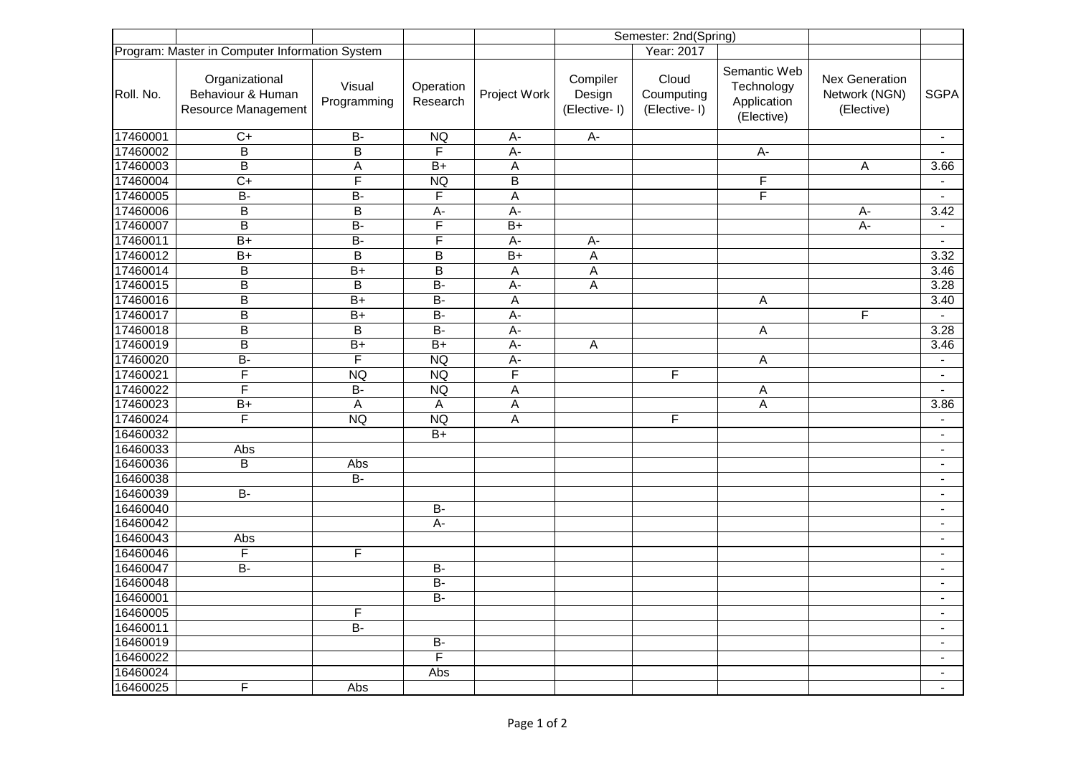|           |                                                            |                                                |                         |                         | Semester: 2nd(Spring)              |                                     |                                                         |                                               |                          |
|-----------|------------------------------------------------------------|------------------------------------------------|-------------------------|-------------------------|------------------------------------|-------------------------------------|---------------------------------------------------------|-----------------------------------------------|--------------------------|
|           |                                                            | Program: Master in Computer Information System |                         | Year: 2017              |                                    |                                     |                                                         |                                               |                          |
| Roll. No. | Organizational<br>Behaviour & Human<br>Resource Management | Visual<br>Programming                          | Operation<br>Research   | Project Work            | Compiler<br>Design<br>(Elective-I) | Cloud<br>Coumputing<br>(Elective-I) | Semantic Web<br>Technology<br>Application<br>(Elective) | Nex Generation<br>Network (NGN)<br>(Elective) | <b>SGPA</b>              |
| 17460001  | $\overline{C}$                                             | $B -$                                          | NQ                      | A-                      | $A-$                               |                                     |                                                         |                                               | $\overline{\phantom{a}}$ |
| 17460002  | B                                                          | $\overline{B}$                                 | $\overline{F}$          | $\overline{A}$          |                                    |                                     | A-                                                      |                                               |                          |
| 17460003  | $\overline{B}$                                             | $\overline{A}$                                 | $\overline{B+}$         | A                       |                                    |                                     |                                                         | $\overline{A}$                                | $\overline{3.66}$        |
| 17460004  | $\overline{C+}$                                            | $\overline{F}$                                 | <b>NQ</b>               | B                       |                                    |                                     | F                                                       |                                               | $\blacksquare$           |
| 17460005  | $\overline{B}$                                             | $\overline{B}$                                 | F                       | $\overline{\mathsf{A}}$ |                                    |                                     | $\overline{\mathsf{F}}$                                 |                                               |                          |
| 17460006  | $\overline{B}$                                             | $\overline{B}$                                 | $A -$                   | $A -$                   |                                    |                                     |                                                         | $A -$                                         | 3.42                     |
| 17460007  | $\overline{B}$                                             | $\overline{B}$                                 | F                       | $\overline{B+}$         |                                    |                                     |                                                         | $A -$                                         | $\blacksquare$           |
| 17460011  | $\overline{B+}$                                            | $\overline{B}$                                 | F                       | $A -$                   | $A -$                              |                                     |                                                         |                                               |                          |
| 17460012  | $\overline{B+}$                                            | B                                              | B                       | $\overline{B+}$         | A                                  |                                     |                                                         |                                               | 3.32                     |
| 17460014  | $\sf B$                                                    | $B+$                                           | $\overline{B}$          | A                       | A                                  |                                     |                                                         |                                               | 3.46                     |
| 17460015  | $\overline{\mathsf{B}}$                                    | $\overline{B}$                                 | $\overline{B}$          | $\overline{A}$          | A                                  |                                     |                                                         |                                               | 3.28                     |
| 17460016  | $\overline{B}$                                             | $\overline{B+}$                                | $\overline{B}$          | $\sf A$                 |                                    |                                     | $\mathsf{A}$                                            |                                               | 3.40                     |
| 17460017  | $\overline{B}$                                             | $\overline{B+}$                                | $\overline{B}$          | $\overline{A}$          |                                    |                                     |                                                         | F                                             | $\mathbf{r}$             |
| 17460018  | $\overline{\mathsf{B}}$                                    | B                                              | $\overline{B}$          | A-                      |                                    |                                     | A                                                       |                                               | 3.28                     |
| 17460019  | $\overline{B}$                                             | $\overline{B+}$                                | $\overline{B+}$         | $\overline{A}$          | A                                  |                                     |                                                         |                                               | 3.46                     |
| 17460020  | $\overline{B}$                                             | $\overline{\mathsf{F}}$                        | <b>NQ</b>               | $\overline{A}$          |                                    |                                     | A                                                       |                                               | $\blacksquare$           |
| 17460021  | $\overline{\mathsf{F}}$                                    | NQ                                             | <b>NQ</b>               | F                       |                                    | F                                   |                                                         |                                               | $\blacksquare$           |
| 17460022  | $\overline{\mathsf{F}}$                                    | $B -$                                          | <b>NQ</b>               | A                       |                                    |                                     | A                                                       |                                               | $\blacksquare$           |
| 17460023  | $B+$                                                       | A                                              | A                       | A                       |                                    |                                     | A                                                       |                                               | 3.86                     |
| 17460024  | F                                                          | <b>NQ</b>                                      | <b>NQ</b>               | A                       |                                    | F                                   |                                                         |                                               | $\blacksquare$           |
| 16460032  |                                                            |                                                | $B+$                    |                         |                                    |                                     |                                                         |                                               | $\blacksquare$           |
| 16460033  | Abs                                                        |                                                |                         |                         |                                    |                                     |                                                         |                                               | $\blacksquare$           |
| 16460036  | B                                                          | Abs                                            |                         |                         |                                    |                                     |                                                         |                                               | $\blacksquare$           |
| 16460038  |                                                            | $\overline{B}$                                 |                         |                         |                                    |                                     |                                                         |                                               | $\blacksquare$           |
| 16460039  | $\overline{B}$                                             |                                                |                         |                         |                                    |                                     |                                                         |                                               | $\blacksquare$           |
| 16460040  |                                                            |                                                | $\overline{B}$          |                         |                                    |                                     |                                                         |                                               | $\blacksquare$           |
| 16460042  |                                                            |                                                | $A -$                   |                         |                                    |                                     |                                                         |                                               | $\blacksquare$           |
| 16460043  | Abs                                                        |                                                |                         |                         |                                    |                                     |                                                         |                                               | $\overline{\phantom{a}}$ |
| 16460046  | $\overline{\mathsf{F}}$                                    | F                                              |                         |                         |                                    |                                     |                                                         |                                               | $\sim$                   |
| 16460047  | $\overline{B}$                                             |                                                | $\overline{B}$          |                         |                                    |                                     |                                                         |                                               | $\blacksquare$           |
| 16460048  |                                                            |                                                | $\overline{B}$          |                         |                                    |                                     |                                                         |                                               | $\blacksquare$           |
| 16460001  |                                                            |                                                | $\overline{B}$          |                         |                                    |                                     |                                                         |                                               | $\blacksquare$           |
| 16460005  |                                                            | F                                              |                         |                         |                                    |                                     |                                                         |                                               | $\blacksquare$           |
| 16460011  |                                                            | $B -$                                          |                         |                         |                                    |                                     |                                                         |                                               | $\blacksquare$           |
| 16460019  |                                                            |                                                | $\overline{B}$          |                         |                                    |                                     |                                                         |                                               | $\blacksquare$           |
| 16460022  |                                                            |                                                | $\overline{\mathsf{F}}$ |                         |                                    |                                     |                                                         |                                               | $\blacksquare$           |
| 16460024  |                                                            |                                                | Abs                     |                         |                                    |                                     |                                                         |                                               | $\blacksquare$           |
| 16460025  | F                                                          | Abs                                            |                         |                         |                                    |                                     |                                                         |                                               | $\blacksquare$           |